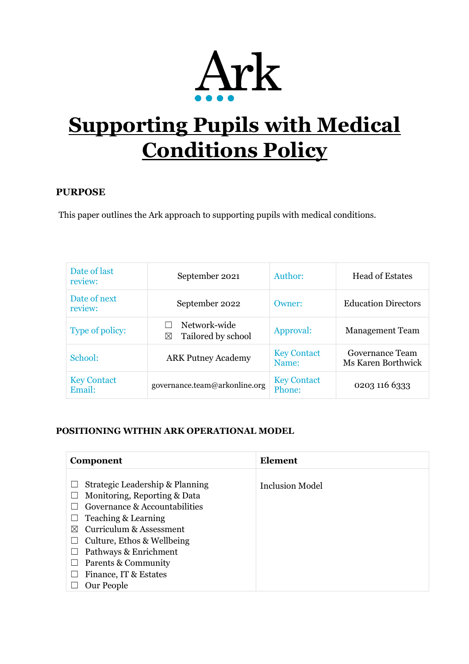

# **Supporting Pupils with Medical Conditions Policy**

#### **PURPOSE**

This paper outlines the Ark approach to supporting pupils with medical conditions.

| Date of last<br>review:      | September 2021                          | Author:                      | <b>Head of Estates</b>                |  |
|------------------------------|-----------------------------------------|------------------------------|---------------------------------------|--|
| Date of next<br>review:      | September 2022                          | Owner:                       | <b>Education Directors</b>            |  |
| Type of policy:              | Network-wide<br>Tailored by school<br>⊠ | Approval:                    | <b>Management Team</b>                |  |
| School:                      | <b>ARK Putney Academy</b>               | <b>Key Contact</b><br>Name:  | Governance Team<br>Ms Karen Borthwick |  |
| <b>Key Contact</b><br>Email: | governance.team@arkonline.org           | <b>Key Contact</b><br>Phone: | 0203 116 6333                         |  |

#### **POSITIONING WITHIN ARK OPERATIONAL MODEL**

| Component                              | Element         |
|----------------------------------------|-----------------|
|                                        |                 |
| Strategic Leadership & Planning        | Inclusion Model |
| Monitoring, Reporting & Data           |                 |
| Governance & Accountabilities          |                 |
| Teaching & Learning                    |                 |
| Curriculum & Assessment<br>$\boxtimes$ |                 |
| Culture, Ethos & Wellbeing             |                 |
| Pathways & Enrichment                  |                 |
| Parents & Community                    |                 |
| Finance, IT & Estates                  |                 |
| Our People                             |                 |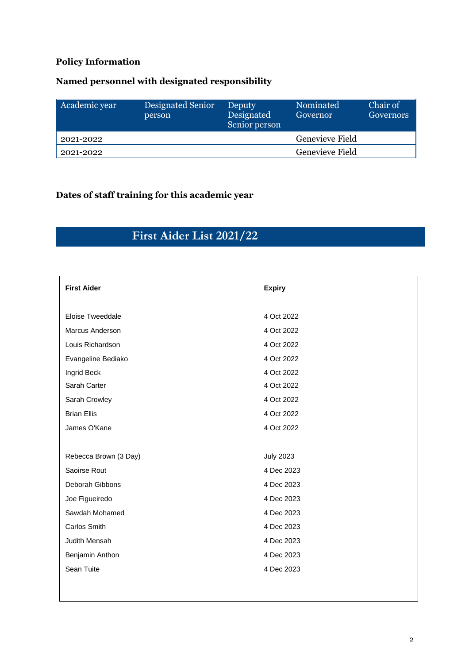#### **Policy Information**

### **Named personnel with designated responsibility**

| Academic year | Designated Senior<br>person | Deputy<br>Designated<br>Senior person | Nominated<br>Governor | Chair of<br>Governors |
|---------------|-----------------------------|---------------------------------------|-----------------------|-----------------------|
| 2021-2022     |                             |                                       | Genevieve Field       |                       |
| 2021-2022     |                             |                                       | Genevieve Field       |                       |

#### **Dates of staff training for this academic year**

## **First Aider List 2021/22**

| <b>First Aider</b>    | <b>Expiry</b>    |
|-----------------------|------------------|
| Eloise Tweeddale      | 4 Oct 2022       |
| Marcus Anderson       | 4 Oct 2022       |
| Louis Richardson      | 4 Oct 2022       |
| Evangeline Bediako    | 4 Oct 2022       |
| Ingrid Beck           | 4 Oct 2022       |
| Sarah Carter          | 4 Oct 2022       |
| Sarah Crowley         | 4 Oct 2022       |
| <b>Brian Ellis</b>    | 4 Oct 2022       |
| James O'Kane          | 4 Oct 2022       |
|                       |                  |
| Rebecca Brown (3 Day) | <b>July 2023</b> |
| Saoirse Rout          | 4 Dec 2023       |
| Deborah Gibbons       | 4 Dec 2023       |
| Joe Figueiredo        | 4 Dec 2023       |
| Sawdah Mohamed        | 4 Dec 2023       |
| Carlos Smith          | 4 Dec 2023       |
| Judith Mensah         | 4 Dec 2023       |
| Benjamin Anthon       | 4 Dec 2023       |
| Sean Tuite            | 4 Dec 2023       |
|                       |                  |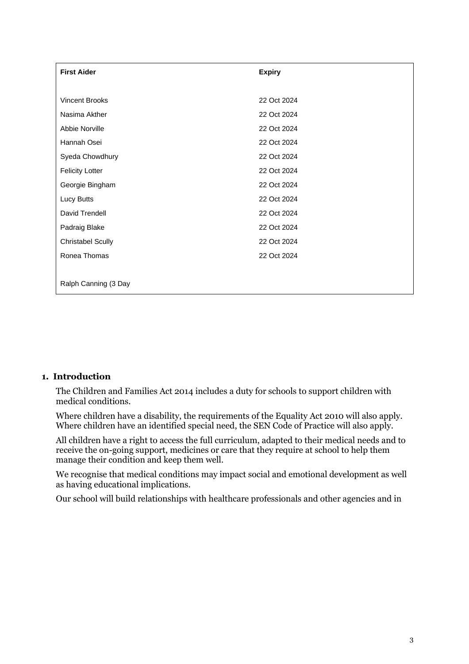| <b>First Aider</b>       | <b>Expiry</b> |  |
|--------------------------|---------------|--|
|                          |               |  |
| <b>Vincent Brooks</b>    | 22 Oct 2024   |  |
| Nasima Akther            | 22 Oct 2024   |  |
| Abbie Norville           | 22 Oct 2024   |  |
| Hannah Osei              | 22 Oct 2024   |  |
| Syeda Chowdhury          | 22 Oct 2024   |  |
| <b>Felicity Lotter</b>   | 22 Oct 2024   |  |
| Georgie Bingham          | 22 Oct 2024   |  |
| Lucy Butts               | 22 Oct 2024   |  |
| David Trendell           | 22 Oct 2024   |  |
| Padraig Blake            | 22 Oct 2024   |  |
| <b>Christabel Scully</b> | 22 Oct 2024   |  |
| Ronea Thomas             | 22 Oct 2024   |  |
|                          |               |  |
| Ralph Canning (3 Day     |               |  |

#### **1. Introduction**

The Children and Families Act 2014 includes a duty for schools to support children with medical conditions.

Where children have a disability, the requirements of the Equality Act 2010 will also apply. Where children have an identified special need, the SEN Code of Practice will also apply.

All children have a right to access the full curriculum, adapted to their medical needs and to receive the on-going support, medicines or care that they require at school to help them manage their condition and keep them well.

We recognise that medical conditions may impact social and emotional development as well as having educational implications.

Our school will build relationships with healthcare professionals and other agencies and in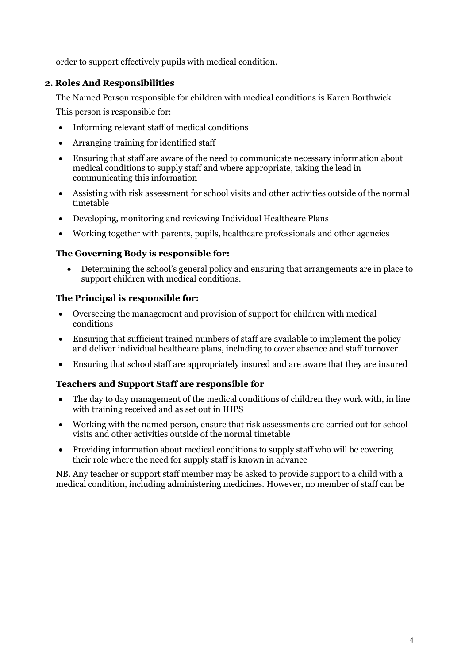order to support effectively pupils with medical condition.

#### **2. Roles And Responsibilities**

The Named Person responsible for children with medical conditions is Karen Borthwick

This person is responsible for:

- Informing relevant staff of medical conditions
- Arranging training for identified staff
- Ensuring that staff are aware of the need to communicate necessary information about medical conditions to supply staff and where appropriate, taking the lead in communicating this information
- Assisting with risk assessment for school visits and other activities outside of the normal timetable
- Developing, monitoring and reviewing Individual Healthcare Plans
- Working together with parents, pupils, healthcare professionals and other agencies

#### **The Governing Body is responsible for:**

• Determining the school's general policy and ensuring that arrangements are in place to support children with medical conditions.

#### **The Principal is responsible for:**

- Overseeing the management and provision of support for children with medical conditions
- Ensuring that sufficient trained numbers of staff are available to implement the policy and deliver individual healthcare plans, including to cover absence and staff turnover
- Ensuring that school staff are appropriately insured and are aware that they are insured

#### **Teachers and Support Staff are responsible for**

- The day to day management of the medical conditions of children they work with, in line with training received and as set out in IHPS
- Working with the named person, ensure that risk assessments are carried out for school visits and other activities outside of the normal timetable
- Providing information about medical conditions to supply staff who will be covering their role where the need for supply staff is known in advance

NB. Any teacher or support staff member may be asked to provide support to a child with a medical condition, including administering medicines. However, no member of staff can be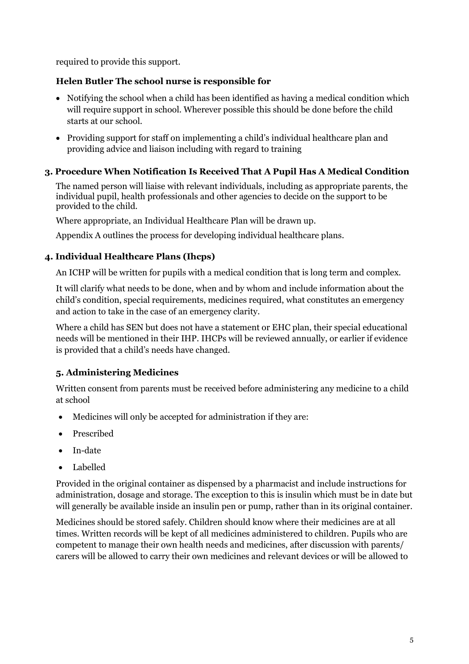required to provide this support.

#### **Helen Butler The school nurse is responsible for**

- Notifying the school when a child has been identified as having a medical condition which will require support in school. Wherever possible this should be done before the child starts at our school.
- Providing support for staff on implementing a child's individual healthcare plan and providing advice and liaison including with regard to training

#### **3. Procedure When Notification Is Received That A Pupil Has A Medical Condition**

The named person will liaise with relevant individuals, including as appropriate parents, the individual pupil, health professionals and other agencies to decide on the support to be provided to the child.

Where appropriate, an Individual Healthcare Plan will be drawn up.

Appendix A outlines the process for developing individual healthcare plans.

#### **4. Individual Healthcare Plans (Ihcps)**

An ICHP will be written for pupils with a medical condition that is long term and complex.

It will clarify what needs to be done, when and by whom and include information about the child's condition, special requirements, medicines required, what constitutes an emergency and action to take in the case of an emergency clarity.

Where a child has SEN but does not have a statement or EHC plan, their special educational needs will be mentioned in their IHP. IHCPs will be reviewed annually, or earlier if evidence is provided that a child's needs have changed.

#### **5. Administering Medicines**

Written consent from parents must be received before administering any medicine to a child at school

- Medicines will only be accepted for administration if they are:
- Prescribed
- In-date
- Labelled

Provided in the original container as dispensed by a pharmacist and include instructions for administration, dosage and storage. The exception to this is insulin which must be in date but will generally be available inside an insulin pen or pump, rather than in its original container.

Medicines should be stored safely. Children should know where their medicines are at all times. Written records will be kept of all medicines administered to children. Pupils who are competent to manage their own health needs and medicines, after discussion with parents/ carers will be allowed to carry their own medicines and relevant devices or will be allowed to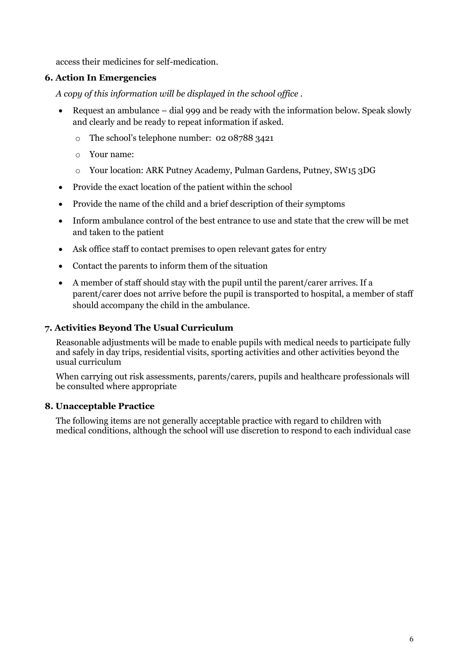access their medicines for self-medication.

#### **6. Action In Emergencies**

*A copy of this information will be displayed in the school office .*

- Request an ambulance dial 999 and be ready with the information below. Speak slowly and clearly and be ready to repeat information if asked.
	- o The school's telephone number: 02 08788 3421
	- o Your name:
	- o Your location: ARK Putney Academy, Pulman Gardens, Putney, SW15 3DG
- Provide the exact location of the patient within the school
- Provide the name of the child and a brief description of their symptoms
- Inform ambulance control of the best entrance to use and state that the crew will be met and taken to the patient
- Ask office staff to contact premises to open relevant gates for entry
- Contact the parents to inform them of the situation
- A member of staff should stay with the pupil until the parent/carer arrives. If a parent/carer does not arrive before the pupil is transported to hospital, a member of staff should accompany the child in the ambulance.

#### **7. Activities Beyond The Usual Curriculum**

Reasonable adjustments will be made to enable pupils with medical needs to participate fully and safely in day trips, residential visits, sporting activities and other activities beyond the usual curriculum

When carrying out risk assessments, parents/carers, pupils and healthcare professionals will be consulted where appropriate

#### **8. Unacceptable Practice**

The following items are not generally acceptable practice with regard to children with medical conditions, although the school will use discretion to respond to each individual case